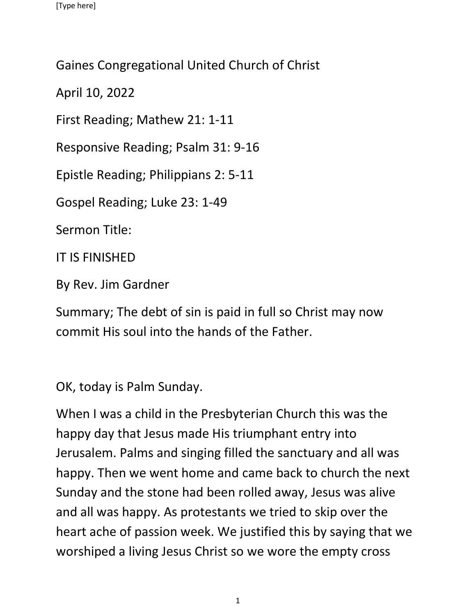Gaines Congregational United Church of Christ

April 10, 2022

First Reading; Mathew 21: 1-11

Responsive Reading; Psalm 31: 9-16

Epistle Reading; Philippians 2: 5-11

Gospel Reading; Luke 23: 1-49

Sermon Title:

IT IS FINISHED

By Rev. Jim Gardner

Summary; The debt of sin is paid in full so Christ may now commit His soul into the hands of the Father.

OK, today is Palm Sunday.

When I was a child in the Presbyterian Church this was the happy day that Jesus made His triumphant entry into Jerusalem. Palms and singing filled the sanctuary and all was happy. Then we went home and came back to church the next Sunday and the stone had been rolled away, Jesus was alive and all was happy. As protestants we tried to skip over the heart ache of passion week. We justified this by saying that we worshiped a living Jesus Christ so we wore the empty cross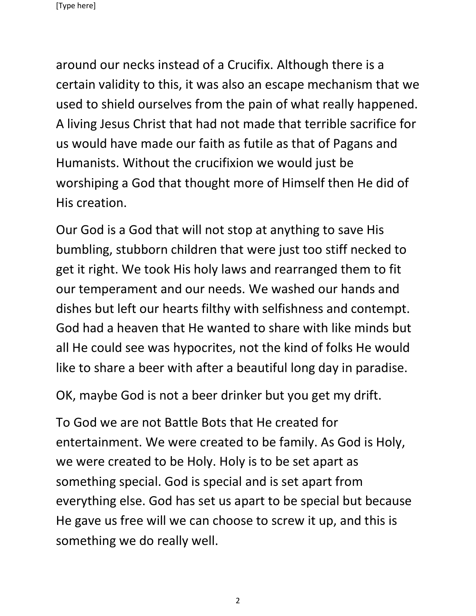around our necks instead of a Crucifix. Although there is a certain validity to this, it was also an escape mechanism that we used to shield ourselves from the pain of what really happened. A living Jesus Christ that had not made that terrible sacrifice for us would have made our faith as futile as that of Pagans and Humanists. Without the crucifixion we would just be worshiping a God that thought more of Himself then He did of His creation.

Our God is a God that will not stop at anything to save His bumbling, stubborn children that were just too stiff necked to get it right. We took His holy laws and rearranged them to fit our temperament and our needs. We washed our hands and dishes but left our hearts filthy with selfishness and contempt. God had a heaven that He wanted to share with like minds but all He could see was hypocrites, not the kind of folks He would like to share a beer with after a beautiful long day in paradise.

OK, maybe God is not a beer drinker but you get my drift.

To God we are not Battle Bots that He created for entertainment. We were created to be family. As God is Holy, we were created to be Holy. Holy is to be set apart as something special. God is special and is set apart from everything else. God has set us apart to be special but because He gave us free will we can choose to screw it up, and this is something we do really well.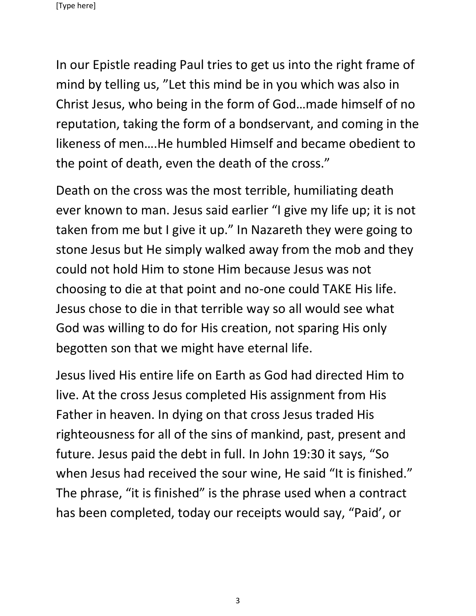In our Epistle reading Paul tries to get us into the right frame of mind by telling us, "Let this mind be in you which was also in Christ Jesus, who being in the form of God…made himself of no reputation, taking the form of a bondservant, and coming in the likeness of men….He humbled Himself and became obedient to the point of death, even the death of the cross."

Death on the cross was the most terrible, humiliating death ever known to man. Jesus said earlier "I give my life up; it is not taken from me but I give it up." In Nazareth they were going to stone Jesus but He simply walked away from the mob and they could not hold Him to stone Him because Jesus was not choosing to die at that point and no-one could TAKE His life. Jesus chose to die in that terrible way so all would see what God was willing to do for His creation, not sparing His only begotten son that we might have eternal life.

Jesus lived His entire life on Earth as God had directed Him to live. At the cross Jesus completed His assignment from His Father in heaven. In dying on that cross Jesus traded His righteousness for all of the sins of mankind, past, present and future. Jesus paid the debt in full. In John 19:30 it says, "So when Jesus had received the sour wine, He said "It is finished." The phrase, "it is finished" is the phrase used when a contract has been completed, today our receipts would say, "Paid', or